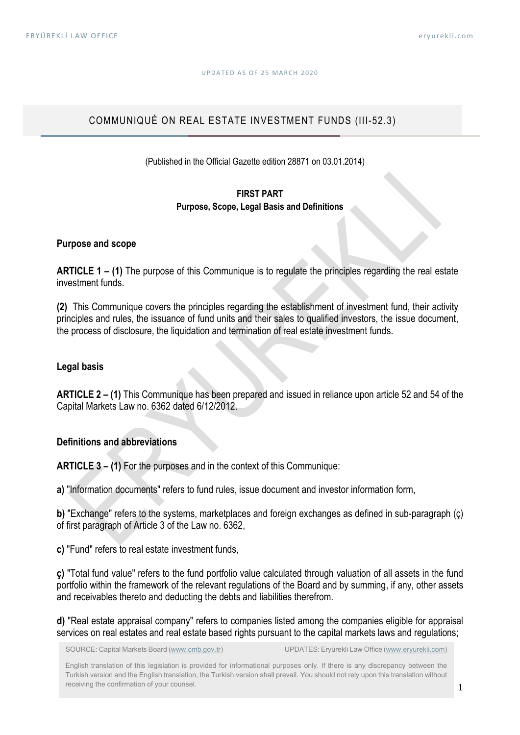#### UPDATED AS OF 25 MARCH 2020

## COMMUNIQUÉ ON REAL ESTATE INVESTMENT FUNDS (III-52.3)

(Published in the Official Gazette edition 28871 on 03.01.2014)

#### FIRST PART Purpose, Scope, Legal Basis and Definitions

#### Purpose and scope

ARTICLE 1 – (1) The purpose of this Communique is to regulate the principles regarding the real estate investment funds.

(2) This Communique covers the principles regarding the establishment of investment fund, their activity principles and rules, the issuance of fund units and their sales to qualified investors, the issue document, the process of disclosure, the liquidation and termination of real estate investment funds.

#### Legal basis

ARTICLE 2 – (1) This Communique has been prepared and issued in reliance upon article 52 and 54 of the Capital Markets Law no. 6362 dated 6/12/2012.

#### Definitions and abbreviations

ARTICLE 3 – (1) For the purposes and in the context of this Communique:

a) "Information documents" refers to fund rules, issue document and investor information form,

b) "Exchange" refers to the systems, marketplaces and foreign exchanges as defined in sub-paragraph (ç) of first paragraph of Article 3 of the Law no. 6362,

c) "Fund" refers to real estate investment funds,

ç) "Total fund value" refers to the fund portfolio value calculated through valuation of all assets in the fund portfolio within the framework of the relevant regulations of the Board and by summing, if any, other assets and receivables thereto and deducting the debts and liabilities therefrom.

d) "Real estate appraisal company" refers to companies listed among the companies eligible for appraisal services on real estates and real estate based rights pursuant to the capital markets laws and regulations;

SOURCE: Capital Markets Board (www.cmb.gov.tr) UPDATES: Eryürekli Law Office (www.eryurekli.com)

English translation of this legislation is provided for informational purposes only. If there is any discrepancy between the Turkish version and the English translation, the Turkish version shall prevail. You should not rely upon this translation without receiving the confirmation of your counsel.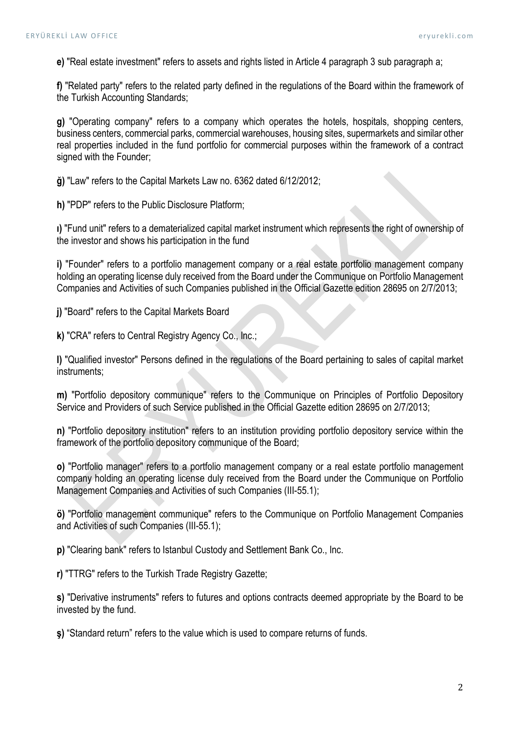e) "Real estate investment" refers to assets and rights listed in Article 4 paragraph 3 sub paragraph a;

f) "Related party" refers to the related party defined in the regulations of the Board within the framework of the Turkish Accounting Standards;

g) "Operating company" refers to a company which operates the hotels, hospitals, shopping centers, business centers, commercial parks, commercial warehouses, housing sites, supermarkets and similar other real properties included in the fund portfolio for commercial purposes within the framework of a contract signed with the Founder;

ğ) "Law" refers to the Capital Markets Law no. 6362 dated 6/12/2012;

h) "PDP" refers to the Public Disclosure Platform;

ı) "Fund unit" refers to a dematerialized capital market instrument which represents the right of ownership of the investor and shows his participation in the fund

i) "Founder" refers to a portfolio management company or a real estate portfolio management company holding an operating license duly received from the Board under the Communique on Portfolio Management Companies and Activities of such Companies published in the Official Gazette edition 28695 on 2/7/2013;

j) "Board" refers to the Capital Markets Board

k) "CRA" refers to Central Registry Agency Co., Inc.;

l) "Qualified investor" Persons defined in the regulations of the Board pertaining to sales of capital market instruments;

m) "Portfolio depository communique" refers to the Communique on Principles of Portfolio Depository Service and Providers of such Service published in the Official Gazette edition 28695 on 2/7/2013;

n) "Portfolio depository institution" refers to an institution providing portfolio depository service within the framework of the portfolio depository communique of the Board;

o) "Portfolio manager" refers to a portfolio management company or a real estate portfolio management company holding an operating license duly received from the Board under the Communique on Portfolio Management Companies and Activities of such Companies (III-55.1);

ö) "Portfolio management communique" refers to the Communique on Portfolio Management Companies and Activities of such Companies (III-55.1);

p) "Clearing bank" refers to Istanbul Custody and Settlement Bank Co., Inc.

r) "TTRG" refers to the Turkish Trade Registry Gazette;

s) "Derivative instruments" refers to futures and options contracts deemed appropriate by the Board to be invested by the fund.

ş) "Standard return" refers to the value which is used to compare returns of funds.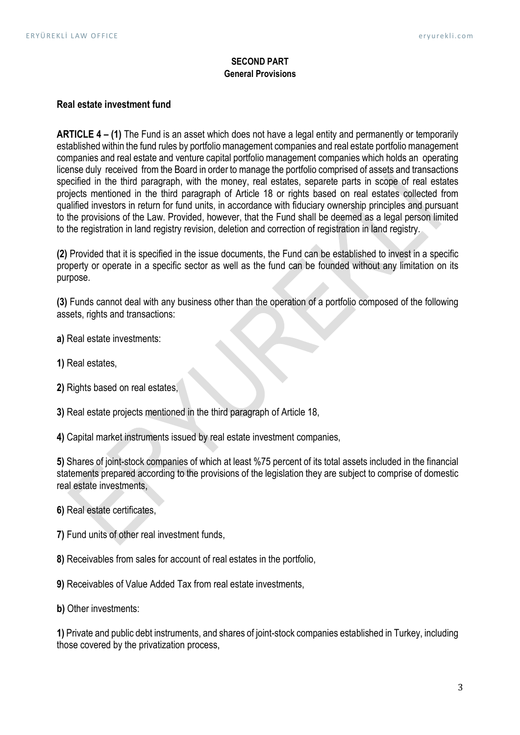## SECOND PART General Provisions

### Real estate investment fund

ARTICLE 4 – (1) The Fund is an asset which does not have a legal entity and permanently or temporarily established within the fund rules by portfolio management companies and real estate portfolio management companies and real estate and venture capital portfolio management companies which holds an operating license duly received from the Board in order to manage the portfolio comprised of assets and transactions specified in the third paragraph, with the money, real estates, separete parts in scope of real estates projects mentioned in the third paragraph of Article 18 or rights based on real estates collected from qualified investors in return for fund units, in accordance with fiduciary ownership principles and pursuant to the provisions of the Law. Provided, however, that the Fund shall be deemed as a legal person limited to the registration in land registry revision, deletion and correction of registration in land registry.

(2) Provided that it is specified in the issue documents, the Fund can be established to invest in a specific property or operate in a specific sector as well as the fund can be founded without any limitation on its purpose.

(3) Funds cannot deal with any business other than the operation of a portfolio composed of the following assets, rights and transactions:

- a) Real estate investments:
- 1) Real estates,
- 2) Rights based on real estates,
- 3) Real estate projects mentioned in the third paragraph of Article 18,
- 4) Capital market instruments issued by real estate investment companies,

5) Shares of joint-stock companies of which at least %75 percent of its total assets included in the financial statements prepared according to the provisions of the legislation they are subject to comprise of domestic real estate investments,

- 6) Real estate certificates,
- 7) Fund units of other real investment funds,
- 8) Receivables from sales for account of real estates in the portfolio,
- 9) Receivables of Value Added Tax from real estate investments,
- b) Other investments:

1) Private and public debt instruments, and shares of joint-stock companies established in Turkey, including those covered by the privatization process,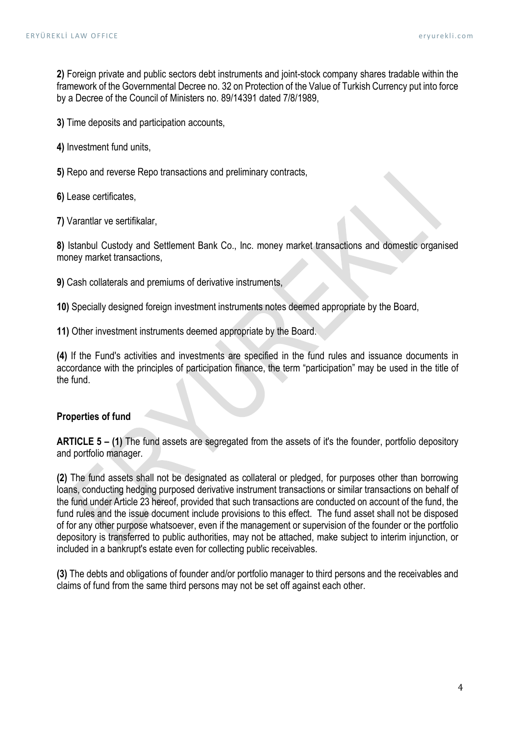2) Foreign private and public sectors debt instruments and joint-stock company shares tradable within the framework of the Governmental Decree no. 32 on Protection of the Value of Turkish Currency put into force by a Decree of the Council of Ministers no. 89/14391 dated 7/8/1989,

3) Time deposits and participation accounts,

- 4) Investment fund units,
- 5) Repo and reverse Repo transactions and preliminary contracts,
- 6) Lease certificates,
- 7) Varantlar ve sertifikalar,

8) Istanbul Custody and Settlement Bank Co., Inc. money market transactions and domestic organised money market transactions,

9) Cash collaterals and premiums of derivative instruments,

10) Specially designed foreign investment instruments notes deemed appropriate by the Board,

11) Other investment instruments deemed appropriate by the Board.

(4) If the Fund's activities and investments are specified in the fund rules and issuance documents in accordance with the principles of participation finance, the term "participation" may be used in the title of the fund.

## Properties of fund

ARTICLE 5 – (1) The fund assets are segregated from the assets of it's the founder, portfolio depository and portfolio manager.

(2) The fund assets shall not be designated as collateral or pledged, for purposes other than borrowing loans, conducting hedging purposed derivative instrument transactions or similar transactions on behalf of the fund under Article 23 hereof, provided that such transactions are conducted on account of the fund, the fund rules and the issue document include provisions to this effect. The fund asset shall not be disposed of for any other purpose whatsoever, even if the management or supervision of the founder or the portfolio depository is transferred to public authorities, may not be attached, make subject to interim injunction, or included in a bankrupt's estate even for collecting public receivables.

(3) The debts and obligations of founder and/or portfolio manager to third persons and the receivables and claims of fund from the same third persons may not be set off against each other.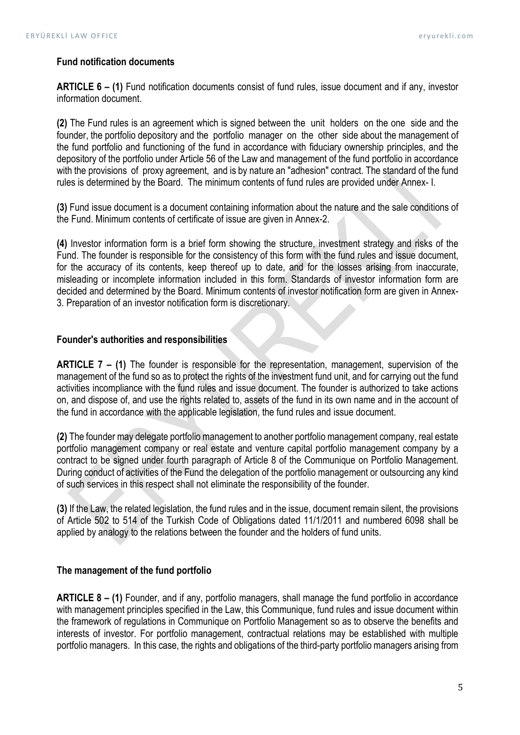## Fund notification documents

ARTICLE 6 – (1) Fund notification documents consist of fund rules, issue document and if any, investor information document.

(2) The Fund rules is an agreement which is signed between the unit holders on the one side and the founder, the portfolio depository and the portfolio manager on the other side about the management of the fund portfolio and functioning of the fund in accordance with fiduciary ownership principles, and the depository of the portfolio under Article 56 of the Law and management of the fund portfolio in accordance with the provisions of proxy agreement, and is by nature an "adhesion" contract. The standard of the fund rules is determined by the Board. The minimum contents of fund rules are provided under Annex- I.

(3) Fund issue document is a document containing information about the nature and the sale conditions of the Fund. Minimum contents of certificate of issue are given in Annex-2.

(4) Investor information form is a brief form showing the structure, investment strategy and risks of the Fund. The founder is responsible for the consistency of this form with the fund rules and issue document, for the accuracy of its contents, keep thereof up to date, and for the losses arising from inaccurate, misleading or incomplete information included in this form. Standards of investor information form are decided and determined by the Board. Minimum contents of investor notification form are given in Annex-3. Preparation of an investor notification form is discretionary.

## Founder's authorities and responsibilities

ARTICLE 7 – (1) The founder is responsible for the representation, management, supervision of the management of the fund so as to protect the rights of the investment fund unit, and for carrying out the fund activities incompliance with the fund rules and issue document. The founder is authorized to take actions on, and dispose of, and use the rights related to, assets of the fund in its own name and in the account of the fund in accordance with the applicable legislation, the fund rules and issue document.

(2) The founder may delegate portfolio management to another portfolio management company, real estate portfolio management company or real estate and venture capital portfolio management company by a contract to be signed under fourth paragraph of Article 8 of the Communique on Portfolio Management. During conduct of activities of the Fund the delegation of the portfolio management or outsourcing any kind of such services in this respect shall not eliminate the responsibility of the founder.

(3) If the Law, the related legislation, the fund rules and in the issue, document remain silent, the provisions of Article 502 to 514 of the Turkish Code of Obligations dated 11/1/2011 and numbered 6098 shall be applied by analogy to the relations between the founder and the holders of fund units.

## The management of the fund portfolio

ARTICLE 8 – (1) Founder, and if any, portfolio managers, shall manage the fund portfolio in accordance with management principles specified in the Law, this Communique, fund rules and issue document within the framework of regulations in Communique on Portfolio Management so as to observe the benefits and interests of investor. For portfolio management, contractual relations may be established with multiple portfolio managers. In this case, the rights and obligations of the third-party portfolio managers arising from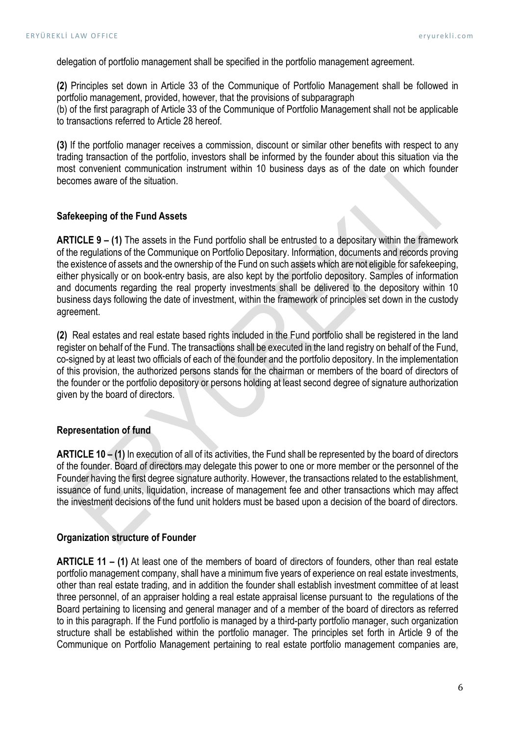delegation of portfolio management shall be specified in the portfolio management agreement.

(2) Principles set down in Article 33 of the Communique of Portfolio Management shall be followed in portfolio management, provided, however, that the provisions of subparagraph

(b) of the first paragraph of Article 33 of the Communique of Portfolio Management shall not be applicable to transactions referred to Article 28 hereof.

(3) If the portfolio manager receives a commission, discount or similar other benefits with respect to any trading transaction of the portfolio, investors shall be informed by the founder about this situation via the most convenient communication instrument within 10 business days as of the date on which founder becomes aware of the situation.

## Safekeeping of the Fund Assets

ARTICLE 9 – (1) The assets in the Fund portfolio shall be entrusted to a depositary within the framework of the regulations of the Communique on Portfolio Depositary. Information, documents and records proving the existence of assets and the ownership of the Fund on such assets which are not eligible for safekeeping, either physically or on book-entry basis, are also kept by the portfolio depository. Samples of information and documents regarding the real property investments shall be delivered to the depository within 10 business days following the date of investment, within the framework of principles set down in the custody agreement.

(2) Real estates and real estate based rights included in the Fund portfolio shall be registered in the land register on behalf of the Fund. The transactions shall be executed in the land registry on behalf of the Fund, co-signed by at least two officials of each of the founder and the portfolio depository. In the implementation of this provision, the authorized persons stands for the chairman or members of the board of directors of the founder or the portfolio depository or persons holding at least second degree of signature authorization given by the board of directors.

## Representation of fund

ARTICLE 10 – (1) In execution of all of its activities, the Fund shall be represented by the board of directors of the founder. Board of directors may delegate this power to one or more member or the personnel of the Founder having the first degree signature authority. However, the transactions related to the establishment, issuance of fund units, liquidation, increase of management fee and other transactions which may affect the investment decisions of the fund unit holders must be based upon a decision of the board of directors.

# Organization structure of Founder

ARTICLE 11 – (1) At least one of the members of board of directors of founders, other than real estate portfolio management company, shall have a minimum five years of experience on real estate investments, other than real estate trading, and in addition the founder shall establish investment committee of at least three personnel, of an appraiser holding a real estate appraisal license pursuant to the regulations of the Board pertaining to licensing and general manager and of a member of the board of directors as referred to in this paragraph. If the Fund portfolio is managed by a third-party portfolio manager, such organization structure shall be established within the portfolio manager. The principles set forth in Article 9 of the Communique on Portfolio Management pertaining to real estate portfolio management companies are,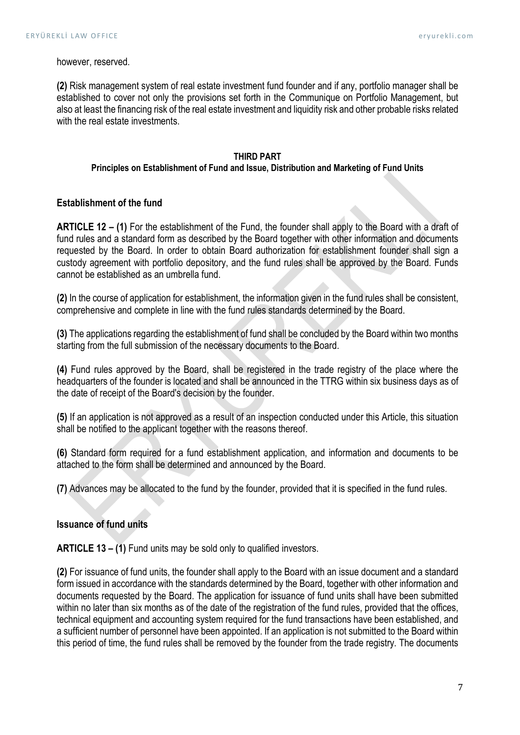however, reserved.

(2) Risk management system of real estate investment fund founder and if any, portfolio manager shall be established to cover not only the provisions set forth in the Communique on Portfolio Management, but also at least the financing risk of the real estate investment and liquidity risk and other probable risks related with the real estate investments.

#### THIRD PART

# Principles on Establishment of Fund and Issue, Distribution and Marketing of Fund Units

# Establishment of the fund

ARTICLE 12 – (1) For the establishment of the Fund, the founder shall apply to the Board with a draft of fund rules and a standard form as described by the Board together with other information and documents requested by the Board. In order to obtain Board authorization for establishment founder shall sign a custody agreement with portfolio depository, and the fund rules shall be approved by the Board. Funds cannot be established as an umbrella fund.

(2) In the course of application for establishment, the information given in the fund rules shall be consistent, comprehensive and complete in line with the fund rules standards determined by the Board.

(3) The applications regarding the establishment of fund shall be concluded by the Board within two months starting from the full submission of the necessary documents to the Board.

(4) Fund rules approved by the Board, shall be registered in the trade registry of the place where the headquarters of the founder is located and shall be announced in the TTRG within six business days as of the date of receipt of the Board's decision by the founder.

(5) If an application is not approved as a result of an inspection conducted under this Article, this situation shall be notified to the applicant together with the reasons thereof.

(6) Standard form required for a fund establishment application, and information and documents to be attached to the form shall be determined and announced by the Board.

(7) Advances may be allocated to the fund by the founder, provided that it is specified in the fund rules.

# Issuance of fund units

ARTICLE 13 – (1) Fund units may be sold only to qualified investors.

(2) For issuance of fund units, the founder shall apply to the Board with an issue document and a standard form issued in accordance with the standards determined by the Board, together with other information and documents requested by the Board. The application for issuance of fund units shall have been submitted within no later than six months as of the date of the registration of the fund rules, provided that the offices, technical equipment and accounting system required for the fund transactions have been established, and a sufficient number of personnel have been appointed. If an application is not submitted to the Board within this period of time, the fund rules shall be removed by the founder from the trade registry. The documents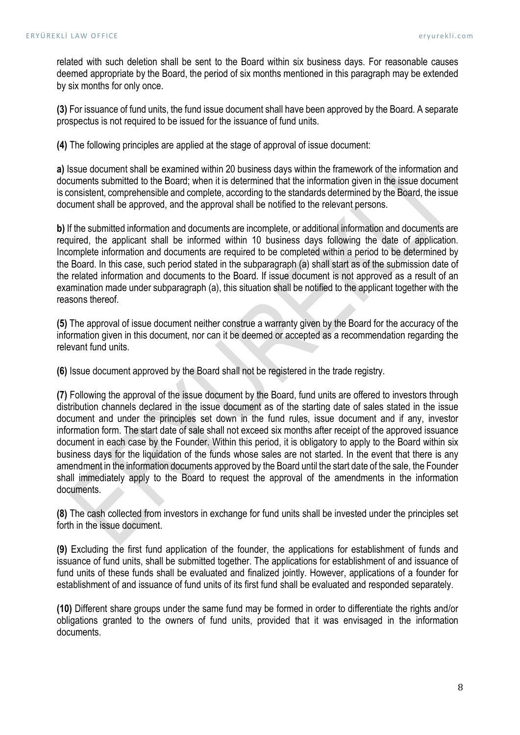related with such deletion shall be sent to the Board within six business days. For reasonable causes deemed appropriate by the Board, the period of six months mentioned in this paragraph may be extended by six months for only once.

(3) For issuance of fund units, the fund issue document shall have been approved by the Board. A separate prospectus is not required to be issued for the issuance of fund units.

(4) The following principles are applied at the stage of approval of issue document:

a) Issue document shall be examined within 20 business days within the framework of the information and documents submitted to the Board; when it is determined that the information given in the issue document is consistent, comprehensible and complete, according to the standards determined by the Board, the issue document shall be approved, and the approval shall be notified to the relevant persons.

b) If the submitted information and documents are incomplete, or additional information and documents are required, the applicant shall be informed within 10 business days following the date of application. Incomplete information and documents are required to be completed within a period to be determined by the Board. In this case, such period stated in the subparagraph (a) shall start as of the submission date of the related information and documents to the Board. If issue document is not approved as a result of an examination made under subparagraph (a), this situation shall be notified to the applicant together with the reasons thereof.

(5) The approval of issue document neither construe a warranty given by the Board for the accuracy of the information given in this document, nor can it be deemed or accepted as a recommendation regarding the relevant fund units.

(6) Issue document approved by the Board shall not be registered in the trade registry.

(7) Following the approval of the issue document by the Board, fund units are offered to investors through distribution channels declared in the issue document as of the starting date of sales stated in the issue document and under the principles set down in the fund rules, issue document and if any, investor information form. The start date of sale shall not exceed six months after receipt of the approved issuance document in each case by the Founder. Within this period, it is obligatory to apply to the Board within six business days for the liquidation of the funds whose sales are not started. In the event that there is any amendment in the information documents approved by the Board until the start date of the sale, the Founder shall immediately apply to the Board to request the approval of the amendments in the information documents.

(8) The cash collected from investors in exchange for fund units shall be invested under the principles set forth in the issue document.

(9) Excluding the first fund application of the founder, the applications for establishment of funds and issuance of fund units, shall be submitted together. The applications for establishment of and issuance of fund units of these funds shall be evaluated and finalized jointly. However, applications of a founder for establishment of and issuance of fund units of its first fund shall be evaluated and responded separately.

(10) Different share groups under the same fund may be formed in order to differentiate the rights and/or obligations granted to the owners of fund units, provided that it was envisaged in the information documents.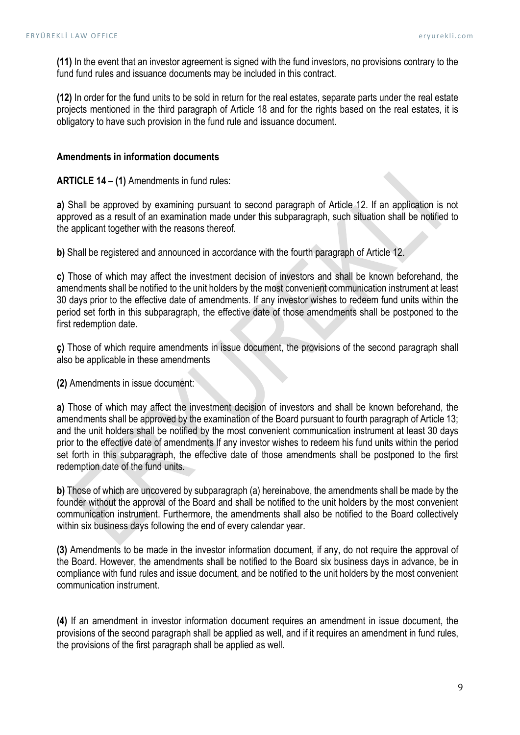(11) In the event that an investor agreement is signed with the fund investors, no provisions contrary to the fund fund rules and issuance documents may be included in this contract.

(12) In order for the fund units to be sold in return for the real estates, separate parts under the real estate projects mentioned in the third paragraph of Article 18 and for the rights based on the real estates, it is obligatory to have such provision in the fund rule and issuance document.

#### Amendments in information documents

#### ARTICLE 14 – (1) Amendments in fund rules:

a) Shall be approved by examining pursuant to second paragraph of Article 12. If an application is not approved as a result of an examination made under this subparagraph, such situation shall be notified to the applicant together with the reasons thereof.

b) Shall be registered and announced in accordance with the fourth paragraph of Article 12.

c) Those of which may affect the investment decision of investors and shall be known beforehand, the amendments shall be notified to the unit holders by the most convenient communication instrument at least 30 days prior to the effective date of amendments. If any investor wishes to redeem fund units within the period set forth in this subparagraph, the effective date of those amendments shall be postponed to the first redemption date.

ç) Those of which require amendments in issue document, the provisions of the second paragraph shall also be applicable in these amendments

(2) Amendments in issue document:

a) Those of which may affect the investment decision of investors and shall be known beforehand, the amendments shall be approved by the examination of the Board pursuant to fourth paragraph of Article 13; and the unit holders shall be notified by the most convenient communication instrument at least 30 days prior to the effective date of amendments If any investor wishes to redeem his fund units within the period set forth in this subparagraph, the effective date of those amendments shall be postponed to the first redemption date of the fund units.

b) Those of which are uncovered by subparagraph (a) hereinabove, the amendments shall be made by the founder without the approval of the Board and shall be notified to the unit holders by the most convenient communication instrument. Furthermore, the amendments shall also be notified to the Board collectively within six business days following the end of every calendar year.

(3) Amendments to be made in the investor information document, if any, do not require the approval of the Board. However, the amendments shall be notified to the Board six business days in advance, be in compliance with fund rules and issue document, and be notified to the unit holders by the most convenient communication instrument.

(4) If an amendment in investor information document requires an amendment in issue document, the provisions of the second paragraph shall be applied as well, and if it requires an amendment in fund rules, the provisions of the first paragraph shall be applied as well.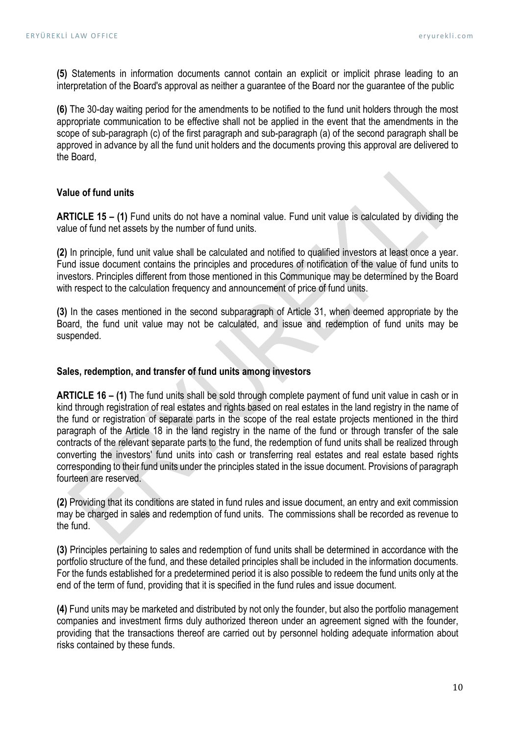(5) Statements in information documents cannot contain an explicit or implicit phrase leading to an interpretation of the Board's approval as neither a guarantee of the Board nor the guarantee of the public

(6) The 30-day waiting period for the amendments to be notified to the fund unit holders through the most appropriate communication to be effective shall not be applied in the event that the amendments in the scope of sub-paragraph (c) of the first paragraph and sub-paragraph (a) of the second paragraph shall be approved in advance by all the fund unit holders and the documents proving this approval are delivered to the Board,

## Value of fund units

ARTICLE 15 – (1) Fund units do not have a nominal value. Fund unit value is calculated by dividing the value of fund net assets by the number of fund units.

(2) In principle, fund unit value shall be calculated and notified to qualified investors at least once a year. Fund issue document contains the principles and procedures of notification of the value of fund units to investors. Principles different from those mentioned in this Communique may be determined by the Board with respect to the calculation frequency and announcement of price of fund units.

(3) In the cases mentioned in the second subparagraph of Article 31, when deemed appropriate by the Board, the fund unit value may not be calculated, and issue and redemption of fund units may be suspended.

### Sales, redemption, and transfer of fund units among investors

ARTICLE 16 – (1) The fund units shall be sold through complete payment of fund unit value in cash or in kind through registration of real estates and rights based on real estates in the land registry in the name of the fund or registration of separate parts in the scope of the real estate projects mentioned in the third paragraph of the Article 18 in the land registry in the name of the fund or through transfer of the sale contracts of the relevant separate parts to the fund, the redemption of fund units shall be realized through converting the investors' fund units into cash or transferring real estates and real estate based rights corresponding to their fund units under the principles stated in the issue document. Provisions of paragraph fourteen are reserved.

(2) Providing that its conditions are stated in fund rules and issue document, an entry and exit commission may be charged in sales and redemption of fund units. The commissions shall be recorded as revenue to the fund.

(3) Principles pertaining to sales and redemption of fund units shall be determined in accordance with the portfolio structure of the fund, and these detailed principles shall be included in the information documents. For the funds established for a predetermined period it is also possible to redeem the fund units only at the end of the term of fund, providing that it is specified in the fund rules and issue document.

(4) Fund units may be marketed and distributed by not only the founder, but also the portfolio management companies and investment firms duly authorized thereon under an agreement signed with the founder, providing that the transactions thereof are carried out by personnel holding adequate information about risks contained by these funds.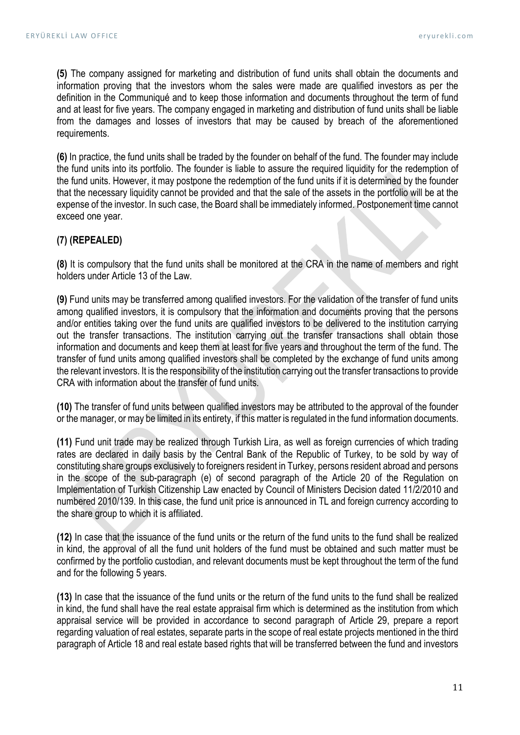(5) The company assigned for marketing and distribution of fund units shall obtain the documents and information proving that the investors whom the sales were made are qualified investors as per the definition in the Communiqué and to keep those information and documents throughout the term of fund and at least for five years. The company engaged in marketing and distribution of fund units shall be liable from the damages and losses of investors that may be caused by breach of the aforementioned requirements.

(6) In practice, the fund units shall be traded by the founder on behalf of the fund. The founder may include the fund units into its portfolio. The founder is liable to assure the required liquidity for the redemption of the fund units. However, it may postpone the redemption of the fund units if it is determined by the founder that the necessary liquidity cannot be provided and that the sale of the assets in the portfolio will be at the expense of the investor. In such case, the Board shall be immediately informed. Postponement time cannot exceed one year.

# (7) (REPEALED)

(8) It is compulsory that the fund units shall be monitored at the CRA in the name of members and right holders under Article 13 of the Law.

(9) Fund units may be transferred among qualified investors. For the validation of the transfer of fund units among qualified investors, it is compulsory that the information and documents proving that the persons and/or entities taking over the fund units are qualified investors to be delivered to the institution carrying out the transfer transactions. The institution carrying out the transfer transactions shall obtain those information and documents and keep them at least for five years and throughout the term of the fund. The transfer of fund units among qualified investors shall be completed by the exchange of fund units among the relevant investors. It is the responsibility of the institution carrying out the transfer transactions to provide CRA with information about the transfer of fund units.

(10) The transfer of fund units between qualified investors may be attributed to the approval of the founder or the manager, or may be limited in its entirety, if this matter is regulated in the fund information documents.

(11) Fund unit trade may be realized through Turkish Lira, as well as foreign currencies of which trading rates are declared in daily basis by the Central Bank of the Republic of Turkey, to be sold by way of constituting share groups exclusively to foreigners resident in Turkey, persons resident abroad and persons in the scope of the sub-paragraph (e) of second paragraph of the Article 20 of the Regulation on Implementation of Turkish Citizenship Law enacted by Council of Ministers Decision dated 11/2/2010 and numbered 2010/139. In this case, the fund unit price is announced in TL and foreign currency according to the share group to which it is affiliated.

(12) In case that the issuance of the fund units or the return of the fund units to the fund shall be realized in kind, the approval of all the fund unit holders of the fund must be obtained and such matter must be confirmed by the portfolio custodian, and relevant documents must be kept throughout the term of the fund and for the following 5 years.

(13) In case that the issuance of the fund units or the return of the fund units to the fund shall be realized in kind, the fund shall have the real estate appraisal firm which is determined as the institution from which appraisal service will be provided in accordance to second paragraph of Article 29, prepare a report regarding valuation of real estates, separate parts in the scope of real estate projects mentioned in the third paragraph of Article 18 and real estate based rights that will be transferred between the fund and investors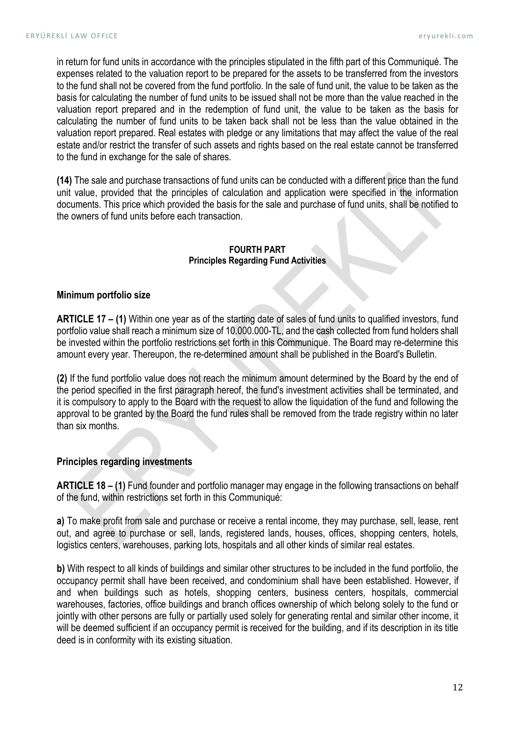in return for fund units in accordance with the principles stipulated in the fifth part of this Communiqué. The expenses related to the valuation report to be prepared for the assets to be transferred from the investors to the fund shall not be covered from the fund portfolio. In the sale of fund unit, the value to be taken as the basis for calculating the number of fund units to be issued shall not be more than the value reached in the valuation report prepared and in the redemption of fund unit, the value to be taken as the basis for calculating the number of fund units to be taken back shall not be less than the value obtained in the valuation report prepared. Real estates with pledge or any limitations that may affect the value of the real estate and/or restrict the transfer of such assets and rights based on the real estate cannot be transferred to the fund in exchange for the sale of shares.

(14) The sale and purchase transactions of fund units can be conducted with a different price than the fund unit value, provided that the principles of calculation and application were specified in the information documents. This price which provided the basis for the sale and purchase of fund units, shall be notified to the owners of fund units before each transaction.

#### FOURTH PART Principles Regarding Fund Activities

#### Minimum portfolio size

ARTICLE 17 – (1) Within one year as of the starting date of sales of fund units to qualified investors, fund portfolio value shall reach a minimum size of 10.000.000-TL, and the cash collected from fund holders shall be invested within the portfolio restrictions set forth in this Communique. The Board may re-determine this amount every year. Thereupon, the re-determined amount shall be published in the Board's Bulletin.

(2) If the fund portfolio value does not reach the minimum amount determined by the Board by the end of the period specified in the first paragraph hereof, the fund's investment activities shall be terminated, and it is compulsory to apply to the Board with the request to allow the liquidation of the fund and following the approval to be granted by the Board the fund rules shall be removed from the trade registry within no later than six months.

#### Principles regarding investments

ARTICLE 18 – (1) Fund founder and portfolio manager may engage in the following transactions on behalf of the fund, within restrictions set forth in this Communiqué:

a) To make profit from sale and purchase or receive a rental income, they may purchase, sell, lease, rent out, and agree to purchase or sell, lands, registered lands, houses, offices, shopping centers, hotels, logistics centers, warehouses, parking lots, hospitals and all other kinds of similar real estates.

b) With respect to all kinds of buildings and similar other structures to be included in the fund portfolio, the occupancy permit shall have been received, and condominium shall have been established. However, if and when buildings such as hotels, shopping centers, business centers, hospitals, commercial warehouses, factories, office buildings and branch offices ownership of which belong solely to the fund or jointly with other persons are fully or partially used solely for generating rental and similar other income, it will be deemed sufficient if an occupancy permit is received for the building, and if its description in its title deed is in conformity with its existing situation.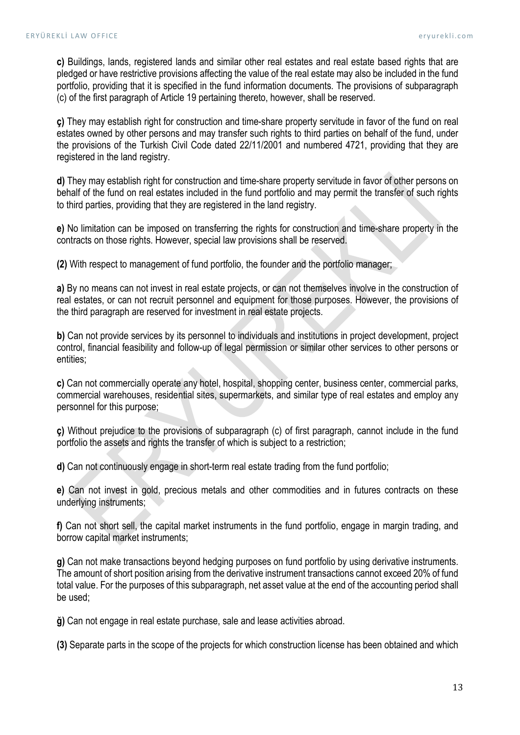c) Buildings, lands, registered lands and similar other real estates and real estate based rights that are pledged or have restrictive provisions affecting the value of the real estate may also be included in the fund portfolio, providing that it is specified in the fund information documents. The provisions of subparagraph (c) of the first paragraph of Article 19 pertaining thereto, however, shall be reserved.

ç) They may establish right for construction and time-share property servitude in favor of the fund on real estates owned by other persons and may transfer such rights to third parties on behalf of the fund, under the provisions of the Turkish Civil Code dated 22/11/2001 and numbered 4721, providing that they are registered in the land registry.

d) They may establish right for construction and time-share property servitude in favor of other persons on behalf of the fund on real estates included in the fund portfolio and may permit the transfer of such rights to third parties, providing that they are registered in the land registry.

e) No limitation can be imposed on transferring the rights for construction and time-share property in the contracts on those rights. However, special law provisions shall be reserved.

(2) With respect to management of fund portfolio, the founder and the portfolio manager;

a) By no means can not invest in real estate projects, or can not themselves involve in the construction of real estates, or can not recruit personnel and equipment for those purposes. However, the provisions of the third paragraph are reserved for investment in real estate projects.

b) Can not provide services by its personnel to individuals and institutions in project development, project control, financial feasibility and follow-up of legal permission or similar other services to other persons or entities;

c) Can not commercially operate any hotel, hospital, shopping center, business center, commercial parks, commercial warehouses, residential sites, supermarkets, and similar type of real estates and employ any personnel for this purpose;

ç) Without prejudice to the provisions of subparagraph (c) of first paragraph, cannot include in the fund portfolio the assets and rights the transfer of which is subject to a restriction;

d) Can not continuously engage in short-term real estate trading from the fund portfolio;

e) Can not invest in gold, precious metals and other commodities and in futures contracts on these underlying instruments;

f) Can not short sell, the capital market instruments in the fund portfolio, engage in margin trading, and borrow capital market instruments;

g) Can not make transactions beyond hedging purposes on fund portfolio by using derivative instruments. The amount of short position arising from the derivative instrument transactions cannot exceed 20% of fund total value. For the purposes of this subparagraph, net asset value at the end of the accounting period shall be used;

 $\ddot{\mathbf{a}}$ ) Can not engage in real estate purchase, sale and lease activities abroad.

(3) Separate parts in the scope of the projects for which construction license has been obtained and which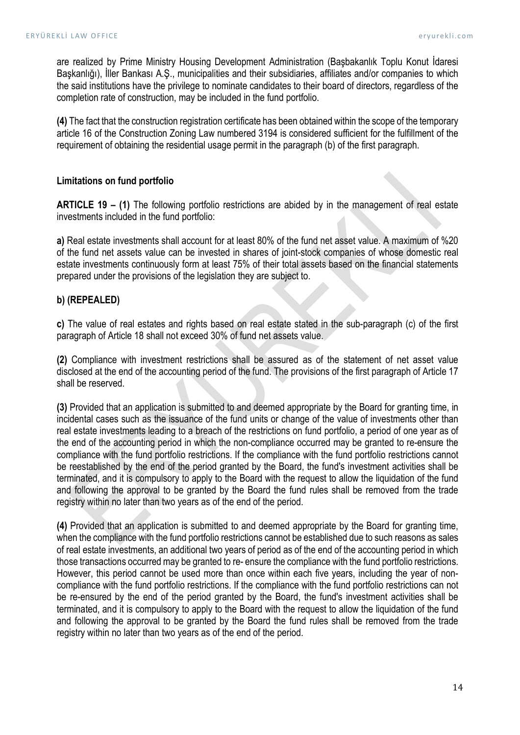are realized by Prime Ministry Housing Development Administration (Başbakanlık Toplu Konut İdaresi Başkanlığı), İller Bankası A.Ş., municipalities and their subsidiaries, affiliates and/or companies to which the said institutions have the privilege to nominate candidates to their board of directors, regardless of the completion rate of construction, may be included in the fund portfolio.

(4) The fact that the construction registration certificate has been obtained within the scope of the temporary article 16 of the Construction Zoning Law numbered 3194 is considered sufficient for the fulfillment of the requirement of obtaining the residential usage permit in the paragraph (b) of the first paragraph.

## Limitations on fund portfolio

ARTICLE 19 – (1) The following portfolio restrictions are abided by in the management of real estate investments included in the fund portfolio:

a) Real estate investments shall account for at least 80% of the fund net asset value. A maximum of %20 of the fund net assets value can be invested in shares of joint-stock companies of whose domestic real estate investments continuously form at least 75% of their total assets based on the financial statements prepared under the provisions of the legislation they are subject to.

## b) (REPEALED)

c) The value of real estates and rights based on real estate stated in the sub-paragraph (c) of the first paragraph of Article 18 shall not exceed 30% of fund net assets value.

(2) Compliance with investment restrictions shall be assured as of the statement of net asset value disclosed at the end of the accounting period of the fund. The provisions of the first paragraph of Article 17 shall be reserved.

(3) Provided that an application is submitted to and deemed appropriate by the Board for granting time, in incidental cases such as the issuance of the fund units or change of the value of investments other than real estate investments leading to a breach of the restrictions on fund portfolio, a period of one year as of the end of the accounting period in which the non-compliance occurred may be granted to re-ensure the compliance with the fund portfolio restrictions. If the compliance with the fund portfolio restrictions cannot be reestablished by the end of the period granted by the Board, the fund's investment activities shall be terminated, and it is compulsory to apply to the Board with the request to allow the liquidation of the fund and following the approval to be granted by the Board the fund rules shall be removed from the trade registry within no later than two years as of the end of the period.

(4) Provided that an application is submitted to and deemed appropriate by the Board for granting time, when the compliance with the fund portfolio restrictions cannot be established due to such reasons as sales of real estate investments, an additional two years of period as of the end of the accounting period in which those transactions occurred may be granted to re- ensure the compliance with the fund portfolio restrictions. However, this period cannot be used more than once within each five years, including the year of noncompliance with the fund portfolio restrictions. If the compliance with the fund portfolio restrictions can not be re-ensured by the end of the period granted by the Board, the fund's investment activities shall be terminated, and it is compulsory to apply to the Board with the request to allow the liquidation of the fund and following the approval to be granted by the Board the fund rules shall be removed from the trade registry within no later than two years as of the end of the period.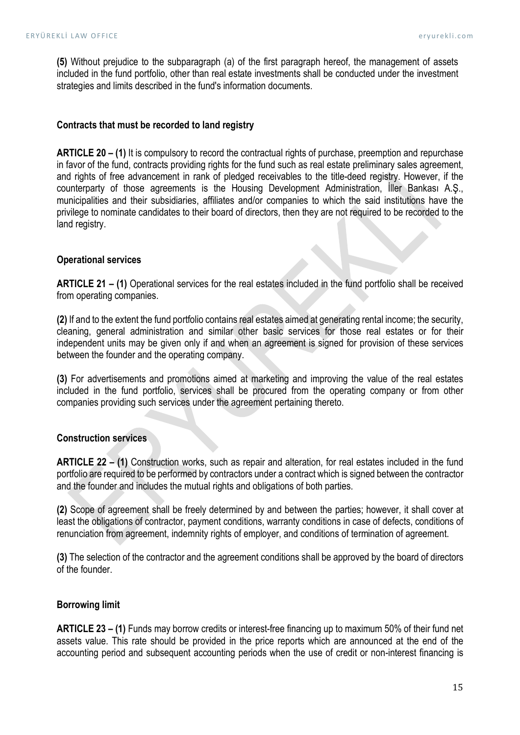(5) Without prejudice to the subparagraph (a) of the first paragraph hereof, the management of assets included in the fund portfolio, other than real estate investments shall be conducted under the investment strategies and limits described in the fund's information documents.

#### Contracts that must be recorded to land registry

ARTICLE 20 – (1) It is compulsory to record the contractual rights of purchase, preemption and repurchase in favor of the fund, contracts providing rights for the fund such as real estate preliminary sales agreement, and rights of free advancement in rank of pledged receivables to the title-deed registry. However, if the counterparty of those agreements is the Housing Development Administration, İller Bankası A.Ş., municipalities and their subsidiaries, affiliates and/or companies to which the said institutions have the privilege to nominate candidates to their board of directors, then they are not required to be recorded to the land registry.

#### Operational services

ARTICLE 21 – (1) Operational services for the real estates included in the fund portfolio shall be received from operating companies.

(2) If and to the extent the fund portfolio contains real estates aimed at generating rental income; the security, cleaning, general administration and similar other basic services for those real estates or for their independent units may be given only if and when an agreement is signed for provision of these services between the founder and the operating company.

(3) For advertisements and promotions aimed at marketing and improving the value of the real estates included in the fund portfolio, services shall be procured from the operating company or from other companies providing such services under the agreement pertaining thereto.

### Construction services

ARTICLE 22 – (1) Construction works, such as repair and alteration, for real estates included in the fund portfolio are required to be performed by contractors under a contract which is signed between the contractor and the founder and includes the mutual rights and obligations of both parties.

(2) Scope of agreement shall be freely determined by and between the parties; however, it shall cover at least the obligations of contractor, payment conditions, warranty conditions in case of defects, conditions of renunciation from agreement, indemnity rights of employer, and conditions of termination of agreement.

(3) The selection of the contractor and the agreement conditions shall be approved by the board of directors of the founder.

#### Borrowing limit

ARTICLE 23 – (1) Funds may borrow credits or interest-free financing up to maximum 50% of their fund net assets value. This rate should be provided in the price reports which are announced at the end of the accounting period and subsequent accounting periods when the use of credit or non-interest financing is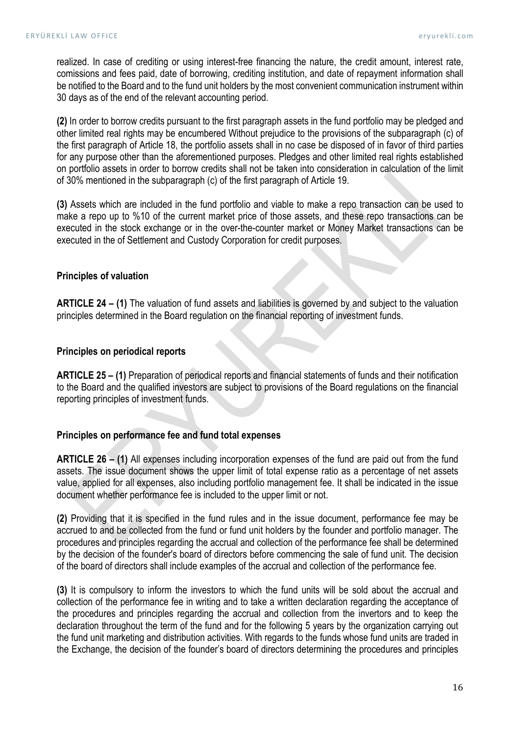realized. In case of crediting or using interest-free financing the nature, the credit amount, interest rate, comissions and fees paid, date of borrowing, crediting institution, and date of repayment information shall be notified to the Board and to the fund unit holders by the most convenient communication instrument within 30 days as of the end of the relevant accounting period.

(2) In order to borrow credits pursuant to the first paragraph assets in the fund portfolio may be pledged and other limited real rights may be encumbered Without prejudice to the provisions of the subparagraph (c) of the first paragraph of Article 18, the portfolio assets shall in no case be disposed of in favor of third parties for any purpose other than the aforementioned purposes. Pledges and other limited real rights established on portfolio assets in order to borrow credits shall not be taken into consideration in calculation of the limit of 30% mentioned in the subparagraph (c) of the first paragraph of Article 19.

(3) Assets which are included in the fund portfolio and viable to make a repo transaction can be used to make a repo up to %10 of the current market price of those assets, and these repo transactions can be executed in the stock exchange or in the over-the-counter market or Money Market transactions can be executed in the of Settlement and Custody Corporation for credit purposes.

#### Principles of valuation

ARTICLE 24 – (1) The valuation of fund assets and liabilities is governed by and subject to the valuation principles determined in the Board regulation on the financial reporting of investment funds.

## Principles on periodical reports

ARTICLE 25 – (1) Preparation of periodical reports and financial statements of funds and their notification to the Board and the qualified investors are subject to provisions of the Board regulations on the financial reporting principles of investment funds.

### Principles on performance fee and fund total expenses

ARTICLE 26 – (1) All expenses including incorporation expenses of the fund are paid out from the fund assets. The issue document shows the upper limit of total expense ratio as a percentage of net assets value, applied for all expenses, also including portfolio management fee. It shall be indicated in the issue document whether performance fee is included to the upper limit or not.

(2) Providing that it is specified in the fund rules and in the issue document, performance fee may be accrued to and be collected from the fund or fund unit holders by the founder and portfolio manager. The procedures and principles regarding the accrual and collection of the performance fee shall be determined by the decision of the founder's board of directors before commencing the sale of fund unit. The decision of the board of directors shall include examples of the accrual and collection of the performance fee.

(3) It is compulsory to inform the investors to which the fund units will be sold about the accrual and collection of the performance fee in writing and to take a written declaration regarding the acceptance of the procedures and principles regarding the accrual and collection from the invertors and to keep the declaration throughout the term of the fund and for the following 5 years by the organization carrying out the fund unit marketing and distribution activities. With regards to the funds whose fund units are traded in the Exchange, the decision of the founder's board of directors determining the procedures and principles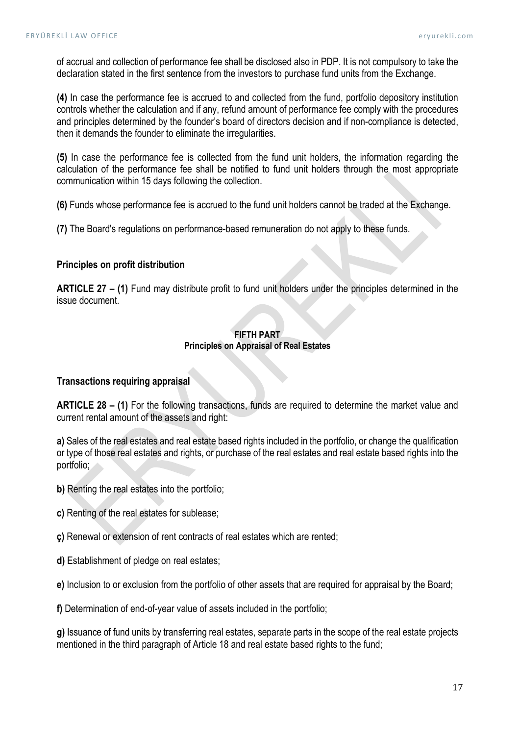of accrual and collection of performance fee shall be disclosed also in PDP. It is not compulsory to take the declaration stated in the first sentence from the investors to purchase fund units from the Exchange.

(4) In case the performance fee is accrued to and collected from the fund, portfolio depository institution controls whether the calculation and if any, refund amount of performance fee comply with the procedures and principles determined by the founder's board of directors decision and if non-compliance is detected, then it demands the founder to eliminate the irregularities.

(5) In case the performance fee is collected from the fund unit holders, the information regarding the calculation of the performance fee shall be notified to fund unit holders through the most appropriate communication within 15 days following the collection.

(6) Funds whose performance fee is accrued to the fund unit holders cannot be traded at the Exchange.

(7) The Board's regulations on performance-based remuneration do not apply to these funds.

#### Principles on profit distribution

ARTICLE 27 – (1) Fund may distribute profit to fund unit holders under the principles determined in the issue document.

#### FIFTH PART Principles on Appraisal of Real Estates

## Transactions requiring appraisal

ARTICLE 28 – (1) For the following transactions, funds are required to determine the market value and current rental amount of the assets and right:

a) Sales of the real estates and real estate based rights included in the portfolio, or change the qualification or type of those real estates and rights, or purchase of the real estates and real estate based rights into the portfolio;

- b) Renting the real estates into the portfolio;
- c) Renting of the real estates for sublease;
- ç) Renewal or extension of rent contracts of real estates which are rented;
- d) Establishment of pledge on real estates;
- e) Inclusion to or exclusion from the portfolio of other assets that are required for appraisal by the Board;
- f) Determination of end-of-year value of assets included in the portfolio;

g) Issuance of fund units by transferring real estates, separate parts in the scope of the real estate projects mentioned in the third paragraph of Article 18 and real estate based rights to the fund;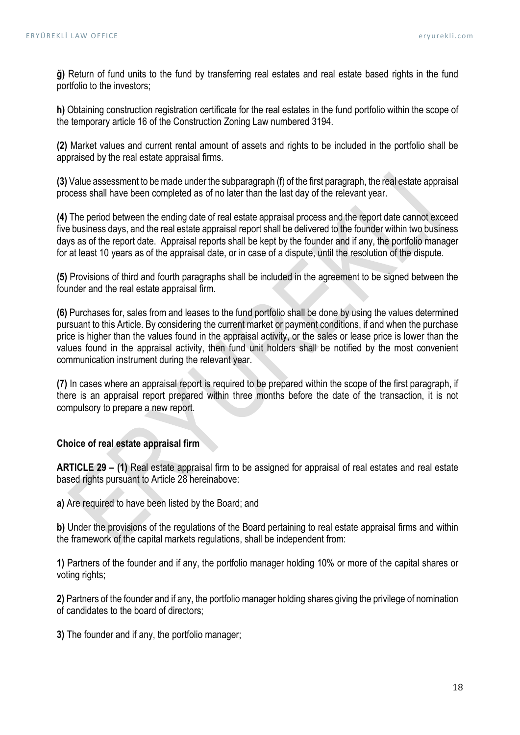ğ) Return of fund units to the fund by transferring real estates and real estate based rights in the fund portfolio to the investors;

h) Obtaining construction registration certificate for the real estates in the fund portfolio within the scope of the temporary article 16 of the Construction Zoning Law numbered 3194.

(2) Market values and current rental amount of assets and rights to be included in the portfolio shall be appraised by the real estate appraisal firms.

(3) Value assessment to be made under the subparagraph (f) of the first paragraph, the real estate appraisal process shall have been completed as of no later than the last day of the relevant year.

(4) The period between the ending date of real estate appraisal process and the report date cannot exceed five business days, and the real estate appraisal report shall be delivered to the founder within two business days as of the report date. Appraisal reports shall be kept by the founder and if any, the portfolio manager for at least 10 years as of the appraisal date, or in case of a dispute, until the resolution of the dispute.

(5) Provisions of third and fourth paragraphs shall be included in the agreement to be signed between the founder and the real estate appraisal firm.

(6) Purchases for, sales from and leases to the fund portfolio shall be done by using the values determined pursuant to this Article. By considering the current market or payment conditions, if and when the purchase price is higher than the values found in the appraisal activity, or the sales or lease price is lower than the values found in the appraisal activity, then fund unit holders shall be notified by the most convenient communication instrument during the relevant year.

(7) In cases where an appraisal report is required to be prepared within the scope of the first paragraph, if there is an appraisal report prepared within three months before the date of the transaction, it is not compulsory to prepare a new report.

#### Choice of real estate appraisal firm

ARTICLE 29 – (1) Real estate appraisal firm to be assigned for appraisal of real estates and real estate based rights pursuant to Article 28 hereinabove:

a) Are required to have been listed by the Board; and

b) Under the provisions of the regulations of the Board pertaining to real estate appraisal firms and within the framework of the capital markets regulations, shall be independent from:

1) Partners of the founder and if any, the portfolio manager holding 10% or more of the capital shares or voting rights;

2) Partners of the founder and if any, the portfolio manager holding shares giving the privilege of nomination of candidates to the board of directors;

3) The founder and if any, the portfolio manager;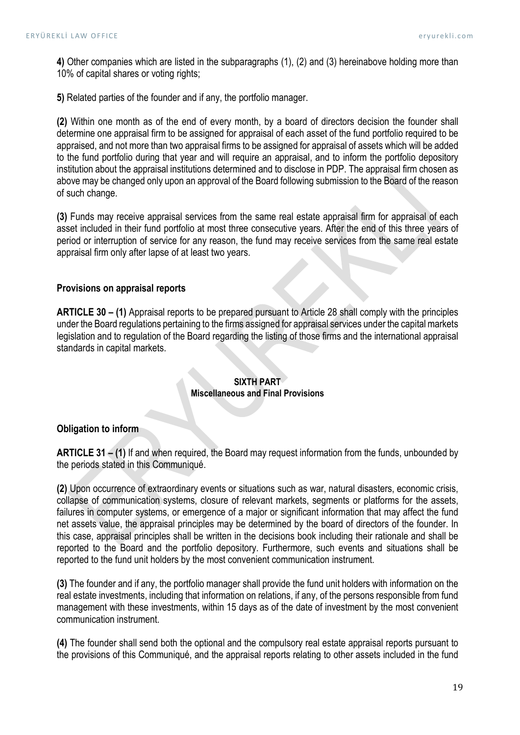4) Other companies which are listed in the subparagraphs (1), (2) and (3) hereinabove holding more than 10% of capital shares or voting rights;

5) Related parties of the founder and if any, the portfolio manager.

(2) Within one month as of the end of every month, by a board of directors decision the founder shall determine one appraisal firm to be assigned for appraisal of each asset of the fund portfolio required to be appraised, and not more than two appraisal firms to be assigned for appraisal of assets which will be added to the fund portfolio during that year and will require an appraisal, and to inform the portfolio depository institution about the appraisal institutions determined and to disclose in PDP. The appraisal firm chosen as above may be changed only upon an approval of the Board following submission to the Board of the reason of such change.

(3) Funds may receive appraisal services from the same real estate appraisal firm for appraisal of each asset included in their fund portfolio at most three consecutive years. After the end of this three years of period or interruption of service for any reason, the fund may receive services from the same real estate appraisal firm only after lapse of at least two years.

#### Provisions on appraisal reports

ARTICLE 30 – (1) Appraisal reports to be prepared pursuant to Article 28 shall comply with the principles under the Board regulations pertaining to the firms assigned for appraisal services under the capital markets legislation and to regulation of the Board regarding the listing of those firms and the international appraisal standards in capital markets.

#### SIXTH PART Miscellaneous and Final Provisions

#### Obligation to inform

ARTICLE 31 – (1) If and when required, the Board may request information from the funds, unbounded by the periods stated in this Communiqué.

(2) Upon occurrence of extraordinary events or situations such as war, natural disasters, economic crisis, collapse of communication systems, closure of relevant markets, segments or platforms for the assets, failures in computer systems, or emergence of a major or significant information that may affect the fund net assets value, the appraisal principles may be determined by the board of directors of the founder. In this case, appraisal principles shall be written in the decisions book including their rationale and shall be reported to the Board and the portfolio depository. Furthermore, such events and situations shall be reported to the fund unit holders by the most convenient communication instrument.

(3) The founder and if any, the portfolio manager shall provide the fund unit holders with information on the real estate investments, including that information on relations, if any, of the persons responsible from fund management with these investments, within 15 days as of the date of investment by the most convenient communication instrument.

(4) The founder shall send both the optional and the compulsory real estate appraisal reports pursuant to the provisions of this Communiqué, and the appraisal reports relating to other assets included in the fund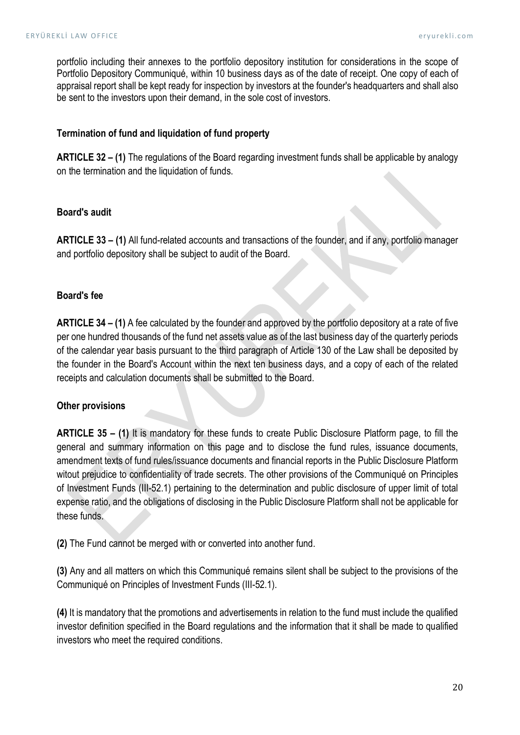portfolio including their annexes to the portfolio depository institution for considerations in the scope of Portfolio Depository Communiqué, within 10 business days as of the date of receipt. One copy of each of appraisal report shall be kept ready for inspection by investors at the founder's headquarters and shall also be sent to the investors upon their demand, in the sole cost of investors.

## Termination of fund and liquidation of fund property

ARTICLE 32 – (1) The regulations of the Board regarding investment funds shall be applicable by analogy on the termination and the liquidation of funds.

## Board's audit

ARTICLE 33 – (1) All fund-related accounts and transactions of the founder, and if any, portfolio manager and portfolio depository shall be subject to audit of the Board.

## Board's fee

ARTICLE 34 – (1) A fee calculated by the founder and approved by the portfolio depository at a rate of five per one hundred thousands of the fund net assets value as of the last business day of the quarterly periods of the calendar year basis pursuant to the third paragraph of Article 130 of the Law shall be deposited by the founder in the Board's Account within the next ten business days, and a copy of each of the related receipts and calculation documents shall be submitted to the Board.

## Other provisions

ARTICLE 35 – (1) It is mandatory for these funds to create Public Disclosure Platform page, to fill the general and summary information on this page and to disclose the fund rules, issuance documents, amendment texts of fund rules/issuance documents and financial reports in the Public Disclosure Platform witout prejudice to confidentiality of trade secrets. The other provisions of the Communiqué on Principles of Investment Funds (III-52.1) pertaining to the determination and public disclosure of upper limit of total expense ratio, and the obligations of disclosing in the Public Disclosure Platform shall not be applicable for these funds.

(2) The Fund cannot be merged with or converted into another fund.

(3) Any and all matters on which this Communiqué remains silent shall be subject to the provisions of the Communiqué on Principles of Investment Funds (III-52.1).

(4) It is mandatory that the promotions and advertisements in relation to the fund must include the qualified investor definition specified in the Board regulations and the information that it shall be made to qualified investors who meet the required conditions.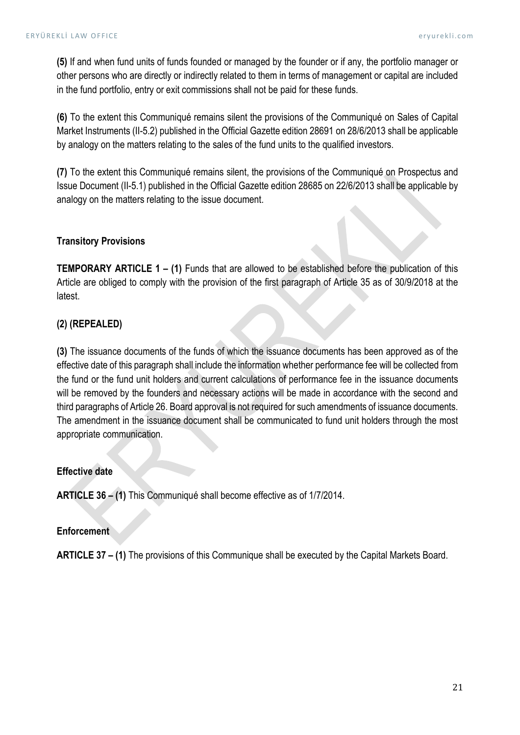(5) If and when fund units of funds founded or managed by the founder or if any, the portfolio manager or other persons who are directly or indirectly related to them in terms of management or capital are included in the fund portfolio, entry or exit commissions shall not be paid for these funds.

(6) To the extent this Communiqué remains silent the provisions of the Communiqué on Sales of Capital Market Instruments (II-5.2) published in the Official Gazette edition 28691 on 28/6/2013 shall be applicable by analogy on the matters relating to the sales of the fund units to the qualified investors.

(7) To the extent this Communiqué remains silent, the provisions of the Communiqué on Prospectus and Issue Document (II-5.1) published in the Official Gazette edition 28685 on 22/6/2013 shall be applicable by analogy on the matters relating to the issue document.

# Transitory Provisions

TEMPORARY ARTICLE 1 – (1) Funds that are allowed to be established before the publication of this Article are obliged to comply with the provision of the first paragraph of Article 35 as of 30/9/2018 at the latest.

# (2) (REPEALED)

(3) The issuance documents of the funds of which the issuance documents has been approved as of the effective date of this paragraph shall include the information whether performance fee will be collected from the fund or the fund unit holders and current calculations of performance fee in the issuance documents will be removed by the founders and necessary actions will be made in accordance with the second and third paragraphs of Article 26. Board approval is not required for such amendments of issuance documents. The amendment in the issuance document shall be communicated to fund unit holders through the most appropriate communication.

# Effective date

ARTICLE 36 – (1) This Communiqué shall become effective as of 1/7/2014.

# **Enforcement**

ARTICLE 37 – (1) The provisions of this Communique shall be executed by the Capital Markets Board.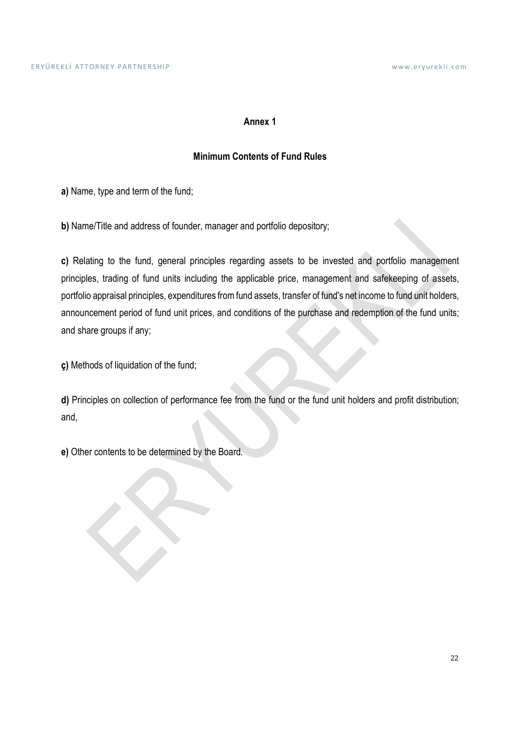## Annex 1

## Minimum Contents of Fund Rules

a) Name, type and term of the fund;

b) Name/Title and address of founder, manager and portfolio depository;

c) Relating to the fund, general principles regarding assets to be invested and portfolio management principles, trading of fund units including the applicable price, management and safekeeping of assets, portfolio appraisal principles, expenditures from fund assets, transfer of fund's net income to fund unit holders, announcement period of fund unit prices, and conditions of the purchase and redemption of the fund units; and share groups if any;

ç) Methods of liquidation of the fund;

d) Principles on collection of performance fee from the fund or the fund unit holders and profit distribution; and,

e) Other contents to be determined by the Board.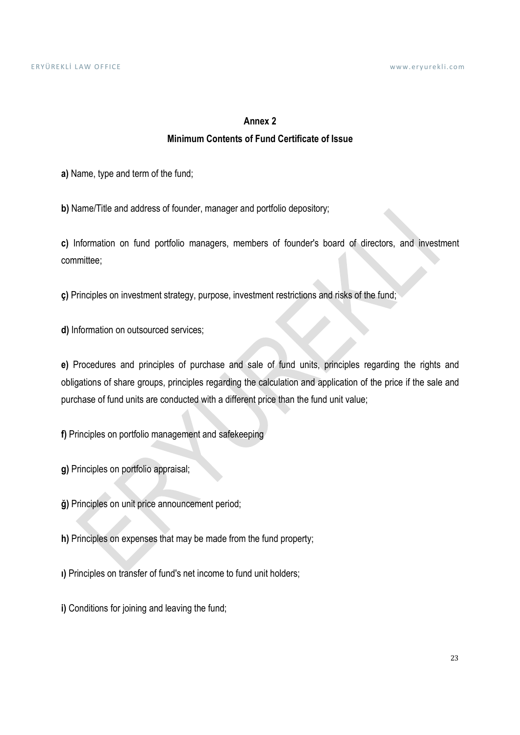# Annex 2 Minimum Contents of Fund Certificate of Issue

a) Name, type and term of the fund;

b) Name/Title and address of founder, manager and portfolio depository;

c) Information on fund portfolio managers, members of founder's board of directors, and investment committee;

ç) Principles on investment strategy, purpose, investment restrictions and risks of the fund;

d) Information on outsourced services;

e) Procedures and principles of purchase and sale of fund units, principles regarding the rights and obligations of share groups, principles regarding the calculation and application of the price if the sale and purchase of fund units are conducted with a different price than the fund unit value;

f) Principles on portfolio management and safekeeping

g) Principles on portfolio appraisal;

ğ) Principles on unit price announcement period;

h) Principles on expenses that may be made from the fund property;

ı) Principles on transfer of fund's net income to fund unit holders;

i) Conditions for joining and leaving the fund;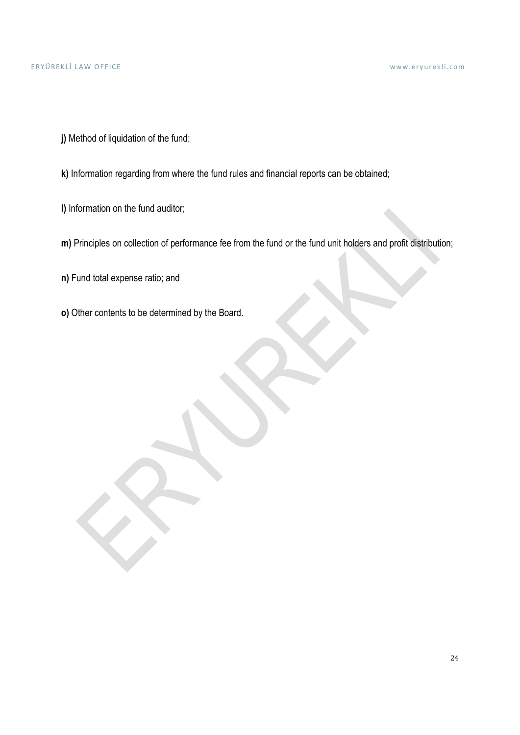j) Method of liquidation of the fund;

- k) Information regarding from where the fund rules and financial reports can be obtained;
- l) Information on the fund auditor;
- m) Principles on collection of performance fee from the fund or the fund unit holders and profit distribution;
- n) Fund total expense ratio; and
- o) Other contents to be determined by the Board.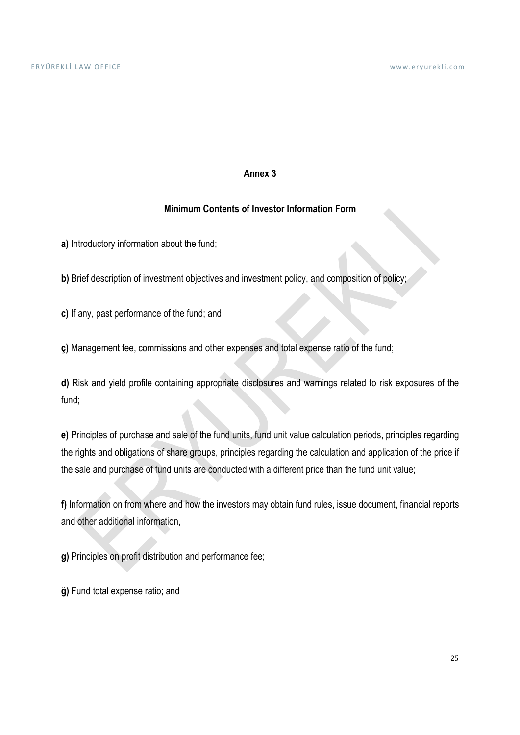#### Annex 3

### Minimum Contents of Investor Information Form

a) Introductory information about the fund;

b) Brief description of investment objectives and investment policy, and composition of policy;

c) If any, past performance of the fund; and

ç) Management fee, commissions and other expenses and total expense ratio of the fund;

d) Risk and yield profile containing appropriate disclosures and warnings related to risk exposures of the fund;

e) Principles of purchase and sale of the fund units, fund unit value calculation periods, principles regarding the rights and obligations of share groups, principles regarding the calculation and application of the price if the sale and purchase of fund units are conducted with a different price than the fund unit value;

f) Information on from where and how the investors may obtain fund rules, issue document, financial reports and other additional information,

g) Principles on profit distribution and performance fee;

ğ) Fund total expense ratio; and